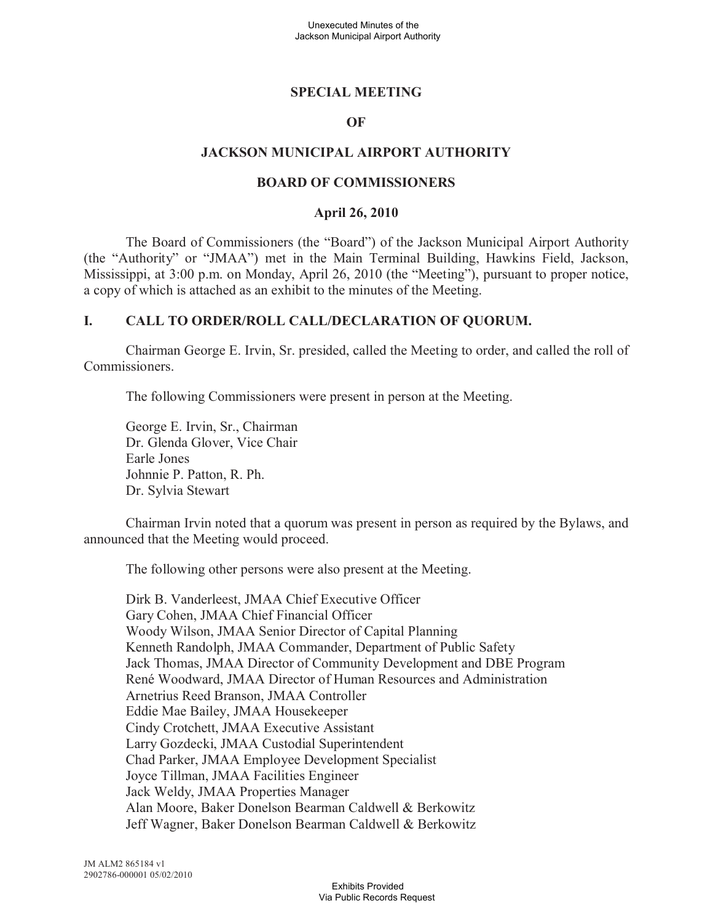## **SPECIAL MEETING**

### **OF**

### **JACKSON MUNICIPAL AIRPORT AUTHORITY**

#### **BOARD OF COMMISSIONERS**

#### **April 26, 2010**

The Board of Commissioners (the "Board") of the Jackson Municipal Airport Authority (the "Authority" or "JMAA") met in the Main Terminal Building, Hawkins Field, Jackson, Mississippi, at 3:00 p.m. on Monday, April 26, 2010 (the "Meeting"), pursuant to proper notice, a copy of which is attached as an exhibit to the minutes of the Meeting.

### **I. CALL TO ORDER/ROLL CALL/DECLARATION OF QUORUM.**

Chairman George E. Irvin, Sr. presided, called the Meeting to order, and called the roll of Commissioners.

The following Commissioners were present in person at the Meeting.

George E. Irvin, Sr., Chairman Dr. Glenda Glover, Vice Chair Earle Jones Johnnie P. Patton, R. Ph. Dr. Sylvia Stewart

Chairman Irvin noted that a quorum was present in person as required by the Bylaws, and announced that the Meeting would proceed.

The following other persons were also present at the Meeting.

Dirk B. Vanderleest, JMAA Chief Executive Officer Gary Cohen, JMAA Chief Financial Officer Woody Wilson, JMAA Senior Director of Capital Planning Kenneth Randolph, JMAA Commander, Department of Public Safety Jack Thomas, JMAA Director of Community Development and DBE Program René Woodward, JMAA Director of Human Resources and Administration Arnetrius Reed Branson, JMAA Controller Eddie Mae Bailey, JMAA Housekeeper Cindy Crotchett, JMAA Executive Assistant Larry Gozdecki, JMAA Custodial Superintendent Chad Parker, JMAA Employee Development Specialist Joyce Tillman, JMAA Facilities Engineer Jack Weldy, JMAA Properties Manager Alan Moore, Baker Donelson Bearman Caldwell & Berkowitz Jeff Wagner, Baker Donelson Bearman Caldwell & Berkowitz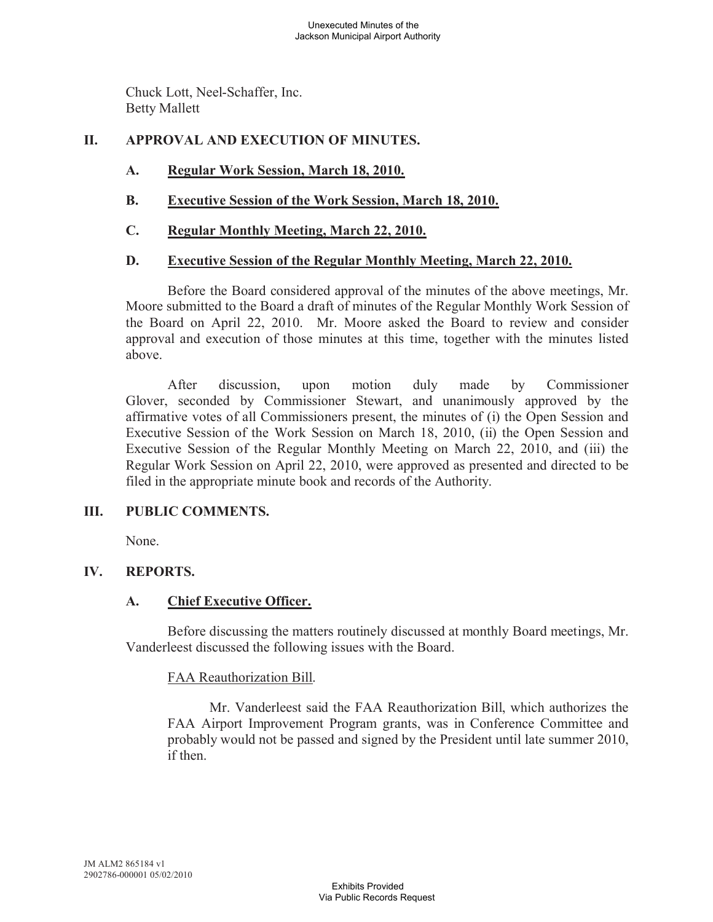Chuck Lott, Neel-Schaffer, Inc. Betty Mallett

## **II. APPROVAL AND EXECUTION OF MINUTES.**

- **A. Regular Work Session, March 18, 2010.**
- **B. Executive Session of the Work Session, March 18, 2010.**
- **C. Regular Monthly Meeting, March 22, 2010.**

## **D. Executive Session of the Regular Monthly Meeting, March 22, 2010.**

Before the Board considered approval of the minutes of the above meetings, Mr. Moore submitted to the Board a draft of minutes of the Regular Monthly Work Session of the Board on April 22, 2010. Mr. Moore asked the Board to review and consider approval and execution of those minutes at this time, together with the minutes listed above.

After discussion, upon motion duly made by Commissioner Glover, seconded by Commissioner Stewart, and unanimously approved by the affirmative votes of all Commissioners present, the minutes of (i) the Open Session and Executive Session of the Work Session on March 18, 2010, (ii) the Open Session and Executive Session of the Regular Monthly Meeting on March 22, 2010, and (iii) the Regular Work Session on April 22, 2010, were approved as presented and directed to be filed in the appropriate minute book and records of the Authority.

## **III. PUBLIC COMMENTS.**

None.

## **IV. REPORTS.**

## **A. Chief Executive Officer.**

Before discussing the matters routinely discussed at monthly Board meetings, Mr. Vanderleest discussed the following issues with the Board.

## FAA Reauthorization Bill.

Mr. Vanderleest said the FAA Reauthorization Bill, which authorizes the FAA Airport Improvement Program grants, was in Conference Committee and probably would not be passed and signed by the President until late summer 2010, if then.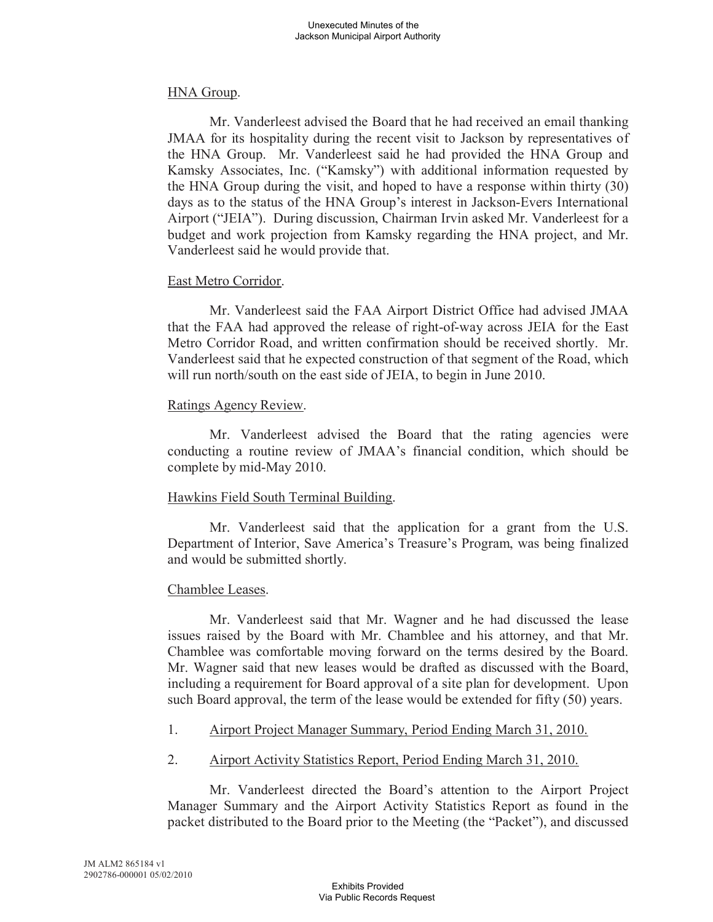### HNA Group.

Mr. Vanderleest advised the Board that he had received an email thanking JMAA for its hospitality during the recent visit to Jackson by representatives of the HNA Group. Mr. Vanderleest said he had provided the HNA Group and Kamsky Associates, Inc. ("Kamsky") with additional information requested by the HNA Group during the visit, and hoped to have a response within thirty (30) days as to the status of the HNA Group's interest in Jackson-Evers International Airport ("JEIA"). During discussion, Chairman Irvin asked Mr. Vanderleest for a budget and work projection from Kamsky regarding the HNA project, and Mr. Vanderleest said he would provide that.

### East Metro Corridor.

Mr. Vanderleest said the FAA Airport District Office had advised JMAA that the FAA had approved the release of right-of-way across JEIA for the East Metro Corridor Road, and written confirmation should be received shortly. Mr. Vanderleest said that he expected construction of that segment of the Road, which will run north/south on the east side of JEIA, to begin in June 2010.

### Ratings Agency Review.

Mr. Vanderleest advised the Board that the rating agencies were conducting a routine review of JMAA's financial condition, which should be complete by mid-May 2010.

## Hawkins Field South Terminal Building.

Mr. Vanderleest said that the application for a grant from the U.S. Department of Interior, Save America's Treasure's Program, was being finalized and would be submitted shortly.

## Chamblee Leases.

Mr. Vanderleest said that Mr. Wagner and he had discussed the lease issues raised by the Board with Mr. Chamblee and his attorney, and that Mr. Chamblee was comfortable moving forward on the terms desired by the Board. Mr. Wagner said that new leases would be drafted as discussed with the Board, including a requirement for Board approval of a site plan for development. Upon such Board approval, the term of the lease would be extended for fifty (50) years.

- 1. Airport Project Manager Summary, Period Ending March 31, 2010.
- 2. Airport Activity Statistics Report, Period Ending March 31, 2010.

Mr. Vanderleest directed the Board's attention to the Airport Project Manager Summary and the Airport Activity Statistics Report as found in the packet distributed to the Board prior to the Meeting (the "Packet"), and discussed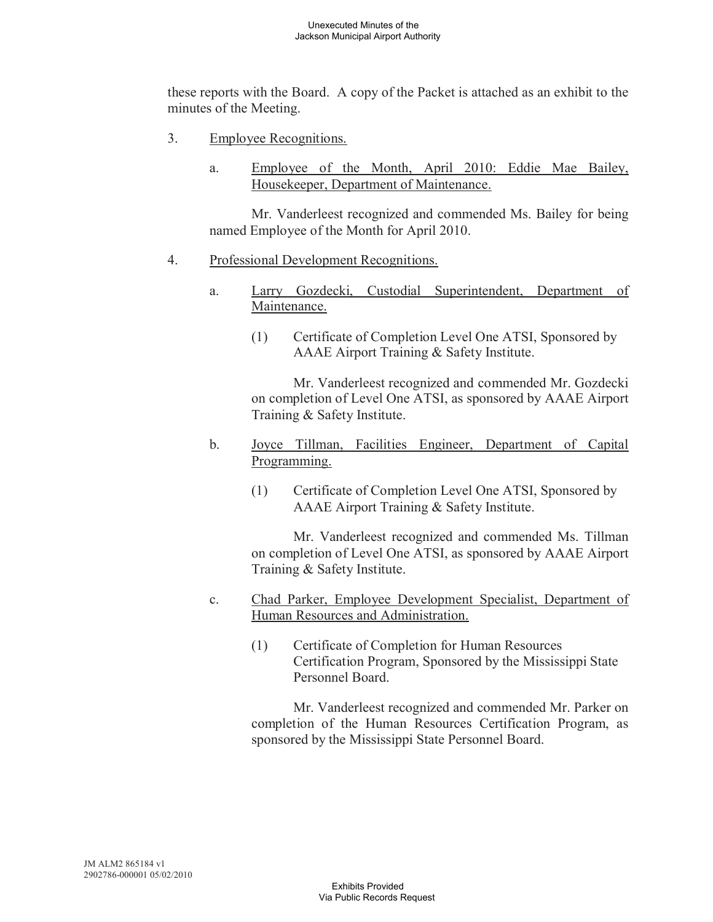these reports with the Board. A copy of the Packet is attached as an exhibit to the minutes of the Meeting.

- 3. Employee Recognitions.
	- a. Employee of the Month, April 2010: Eddie Mae Bailey, Housekeeper, Department of Maintenance.

Mr. Vanderleest recognized and commended Ms. Bailey for being named Employee of the Month for April 2010.

- 4. Professional Development Recognitions.
	- a. Larry Gozdecki, Custodial Superintendent, Department of Maintenance.
		- (1) Certificate of Completion Level One ATSI, Sponsored by AAAE Airport Training & Safety Institute.

Mr. Vanderleest recognized and commended Mr. Gozdecki on completion of Level One ATSI, as sponsored by AAAE Airport Training & Safety Institute.

- b. Joyce Tillman, Facilities Engineer, Department of Capital Programming.
	- (1) Certificate of Completion Level One ATSI, Sponsored by AAAE Airport Training & Safety Institute.

Mr. Vanderleest recognized and commended Ms. Tillman on completion of Level One ATSI, as sponsored by AAAE Airport Training & Safety Institute.

- c. Chad Parker, Employee Development Specialist, Department of Human Resources and Administration.
	- (1) Certificate of Completion for Human Resources Certification Program, Sponsored by the Mississippi State Personnel Board.

Mr. Vanderleest recognized and commended Mr. Parker on completion of the Human Resources Certification Program, as sponsored by the Mississippi State Personnel Board.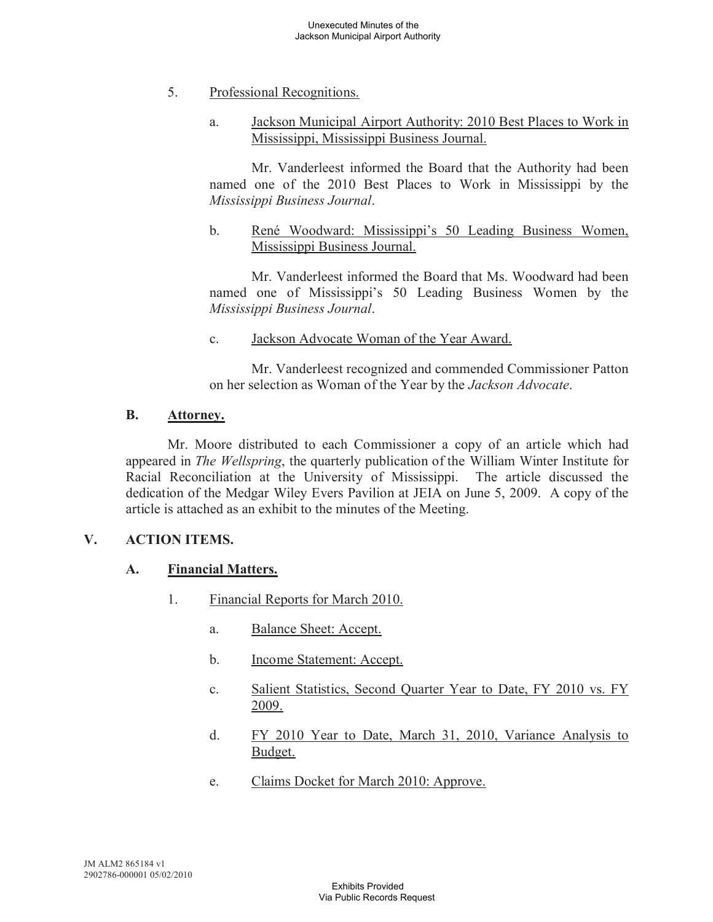- 5. Professional Recognitions.
	- a. Jackson Municipal Airport Authority: 2010 Best Places to Work in Mississippi, Mississippi Business Journal.

Mr. Vanderleest informed the Board that the Authority had been named one of the 2010 Best Places to Work in Mississippi by the *Mississippi Business Journal*.

b. René Woodward: Mississippi's 50 Leading Business Women, Mississippi Business Journal.

Mr. Vanderleest informed the Board that Ms. Woodward had been named one of Mississippi's 50 Leading Business Women by the *Mississippi Business Journal*.

c. Jackson Advocate Woman of the Year Award.

Mr. Vanderleest recognized and commended Commissioner Patton on her selection as Woman of the Year by the *Jackson Advocate*.

### **B. Attorney.**

Mr. Moore distributed to each Commissioner a copy of an article which had appeared in *The Wellspring*, the quarterly publication of the William Winter Institute for Racial Reconciliation at the University of Mississippi. The article discussed the dedication of the Medgar Wiley Evers Pavilion at JEIA on June 5, 2009. A copy of the article is attached as an exhibit to the minutes of the Meeting.

## **V. ACTION ITEMS.**

## **A. Financial Matters.**

- 1. Financial Reports for March 2010.
	- a. Balance Sheet: Accept.
	- b. Income Statement: Accept.
	- c. Salient Statistics, Second Quarter Year to Date, FY 2010 vs. FY 2009.
	- d. FY 2010 Year to Date, March 31, 2010, Variance Analysis to Budget.
	- e. Claims Docket for March 2010: Approve.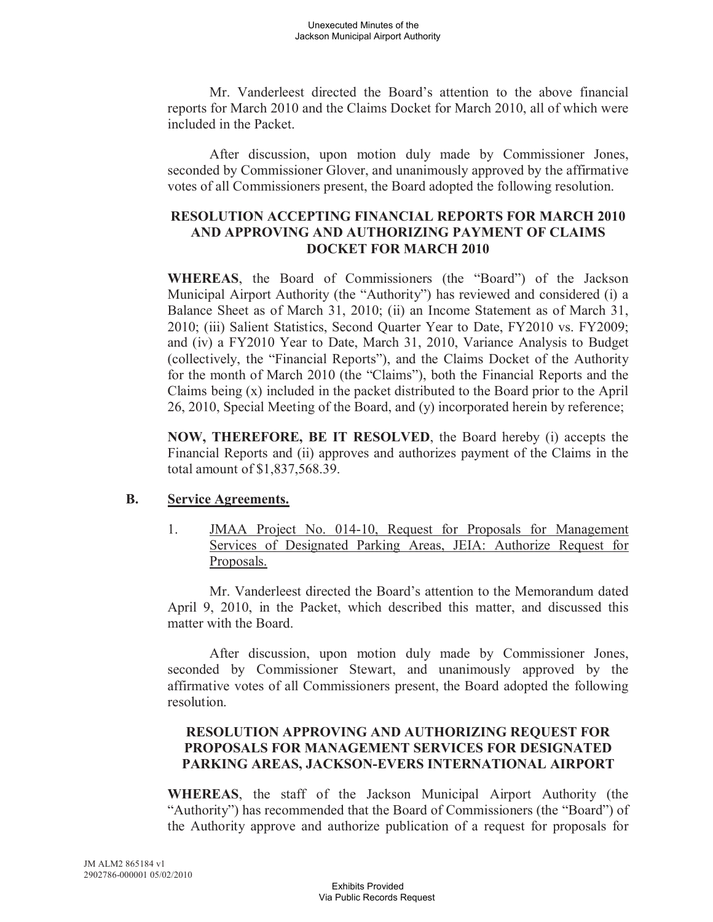Mr. Vanderleest directed the Board's attention to the above financial reports for March 2010 and the Claims Docket for March 2010, all of which were included in the Packet.

After discussion, upon motion duly made by Commissioner Jones, seconded by Commissioner Glover, and unanimously approved by the affirmative votes of all Commissioners present, the Board adopted the following resolution.

# **RESOLUTION ACCEPTING FINANCIAL REPORTS FOR MARCH 2010 AND APPROVING AND AUTHORIZING PAYMENT OF CLAIMS DOCKET FOR MARCH 2010**

**WHEREAS**, the Board of Commissioners (the "Board") of the Jackson Municipal Airport Authority (the "Authority") has reviewed and considered (i) a Balance Sheet as of March 31, 2010; (ii) an Income Statement as of March 31, 2010; (iii) Salient Statistics, Second Quarter Year to Date, FY2010 vs. FY2009; and (iv) a FY2010 Year to Date, March 31, 2010, Variance Analysis to Budget (collectively, the "Financial Reports"), and the Claims Docket of the Authority for the month of March 2010 (the "Claims"), both the Financial Reports and the Claims being (x) included in the packet distributed to the Board prior to the April 26, 2010, Special Meeting of the Board, and (y) incorporated herein by reference;

**NOW, THEREFORE, BE IT RESOLVED**, the Board hereby (i) accepts the Financial Reports and (ii) approves and authorizes payment of the Claims in the total amount of \$1,837,568.39.

## **B. Service Agreements.**

1. JMAA Project No. 014-10, Request for Proposals for Management Services of Designated Parking Areas, JEIA: Authorize Request for Proposals.

Mr. Vanderleest directed the Board's attention to the Memorandum dated April 9, 2010, in the Packet, which described this matter, and discussed this matter with the Board.

After discussion, upon motion duly made by Commissioner Jones, seconded by Commissioner Stewart, and unanimously approved by the affirmative votes of all Commissioners present, the Board adopted the following resolution.

# **RESOLUTION APPROVING AND AUTHORIZING REQUEST FOR PROPOSALS FOR MANAGEMENT SERVICES FOR DESIGNATED PARKING AREAS, JACKSON-EVERS INTERNATIONAL AIRPORT**

**WHEREAS**, the staff of the Jackson Municipal Airport Authority (the "Authority") has recommended that the Board of Commissioners (the "Board") of the Authority approve and authorize publication of a request for proposals for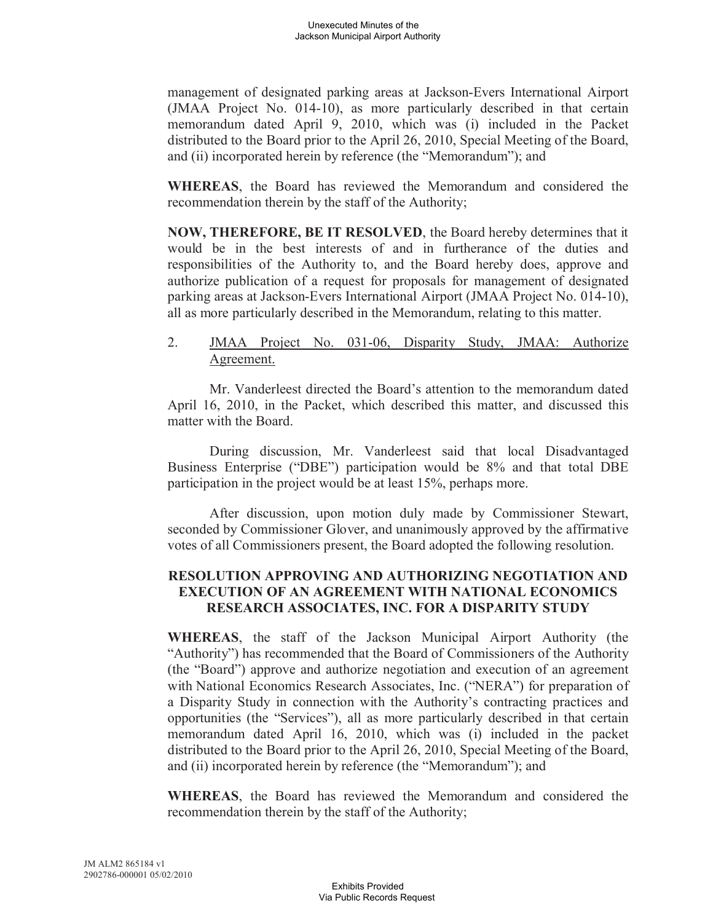management of designated parking areas at Jackson-Evers International Airport (JMAA Project No. 014-10), as more particularly described in that certain memorandum dated April 9, 2010, which was (i) included in the Packet distributed to the Board prior to the April 26, 2010, Special Meeting of the Board, and (ii) incorporated herein by reference (the "Memorandum"); and

**WHEREAS**, the Board has reviewed the Memorandum and considered the recommendation therein by the staff of the Authority;

**NOW, THEREFORE, BE IT RESOLVED**, the Board hereby determines that it would be in the best interests of and in furtherance of the duties and responsibilities of the Authority to, and the Board hereby does, approve and authorize publication of a request for proposals for management of designated parking areas at Jackson-Evers International Airport (JMAA Project No. 014-10), all as more particularly described in the Memorandum, relating to this matter.

## 2. JMAA Project No. 031-06, Disparity Study, JMAA: Authorize Agreement.

Mr. Vanderleest directed the Board's attention to the memorandum dated April 16, 2010, in the Packet, which described this matter, and discussed this matter with the Board.

During discussion, Mr. Vanderleest said that local Disadvantaged Business Enterprise ("DBE") participation would be 8% and that total DBE participation in the project would be at least 15%, perhaps more.

After discussion, upon motion duly made by Commissioner Stewart, seconded by Commissioner Glover, and unanimously approved by the affirmative votes of all Commissioners present, the Board adopted the following resolution.

## **RESOLUTION APPROVING AND AUTHORIZING NEGOTIATION AND EXECUTION OF AN AGREEMENT WITH NATIONAL ECONOMICS RESEARCH ASSOCIATES, INC. FOR A DISPARITY STUDY**

**WHEREAS**, the staff of the Jackson Municipal Airport Authority (the "Authority") has recommended that the Board of Commissioners of the Authority (the "Board") approve and authorize negotiation and execution of an agreement with National Economics Research Associates, Inc. ("NERA") for preparation of a Disparity Study in connection with the Authority's contracting practices and opportunities (the "Services"), all as more particularly described in that certain memorandum dated April 16, 2010, which was (i) included in the packet distributed to the Board prior to the April 26, 2010, Special Meeting of the Board, and (ii) incorporated herein by reference (the "Memorandum"); and

**WHEREAS**, the Board has reviewed the Memorandum and considered the recommendation therein by the staff of the Authority;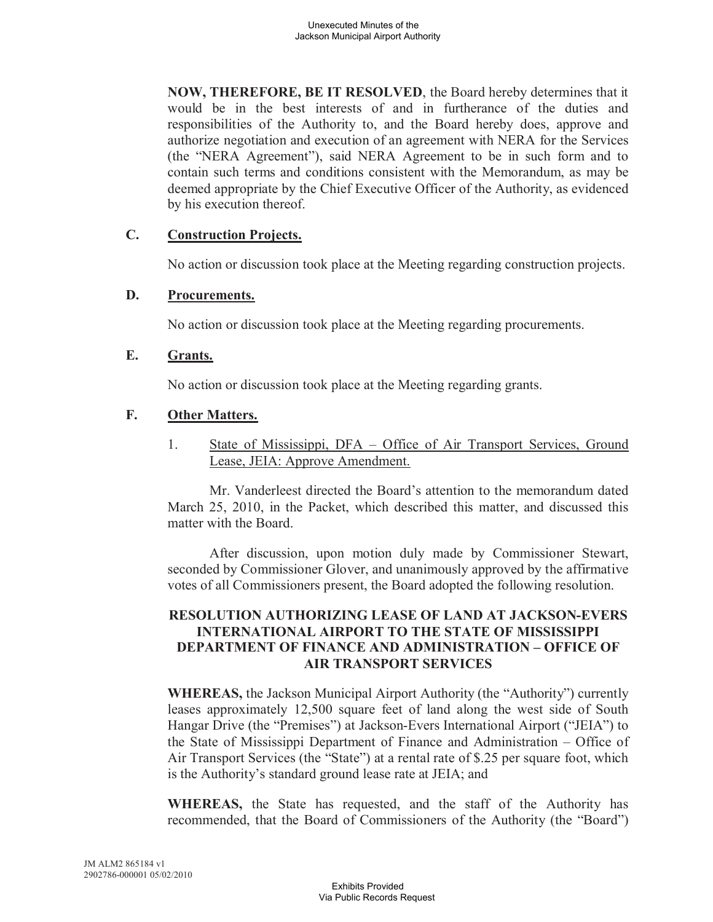**NOW, THEREFORE, BE IT RESOLVED**, the Board hereby determines that it would be in the best interests of and in furtherance of the duties and responsibilities of the Authority to, and the Board hereby does, approve and authorize negotiation and execution of an agreement with NERA for the Services (the "NERA Agreement"), said NERA Agreement to be in such form and to contain such terms and conditions consistent with the Memorandum, as may be deemed appropriate by the Chief Executive Officer of the Authority, as evidenced by his execution thereof.

### **C. Construction Projects.**

No action or discussion took place at the Meeting regarding construction projects.

## **D. Procurements.**

No action or discussion took place at the Meeting regarding procurements.

### **E. Grants.**

No action or discussion took place at the Meeting regarding grants.

### **F. Other Matters.**

1. State of Mississippi, DFA – Office of Air Transport Services, Ground Lease, JEIA: Approve Amendment.

Mr. Vanderleest directed the Board's attention to the memorandum dated March 25, 2010, in the Packet, which described this matter, and discussed this matter with the Board.

After discussion, upon motion duly made by Commissioner Stewart, seconded by Commissioner Glover, and unanimously approved by the affirmative votes of all Commissioners present, the Board adopted the following resolution.

## **RESOLUTION AUTHORIZING LEASE OF LAND AT JACKSON-EVERS INTERNATIONAL AIRPORT TO THE STATE OF MISSISSIPPI DEPARTMENT OF FINANCE AND ADMINISTRATION – OFFICE OF AIR TRANSPORT SERVICES**

**WHEREAS,** the Jackson Municipal Airport Authority (the "Authority") currently leases approximately 12,500 square feet of land along the west side of South Hangar Drive (the "Premises") at Jackson-Evers International Airport ("JEIA") to the State of Mississippi Department of Finance and Administration – Office of Air Transport Services (the "State") at a rental rate of \$.25 per square foot, which is the Authority's standard ground lease rate at JEIA; and

**WHEREAS,** the State has requested, and the staff of the Authority has recommended, that the Board of Commissioners of the Authority (the "Board")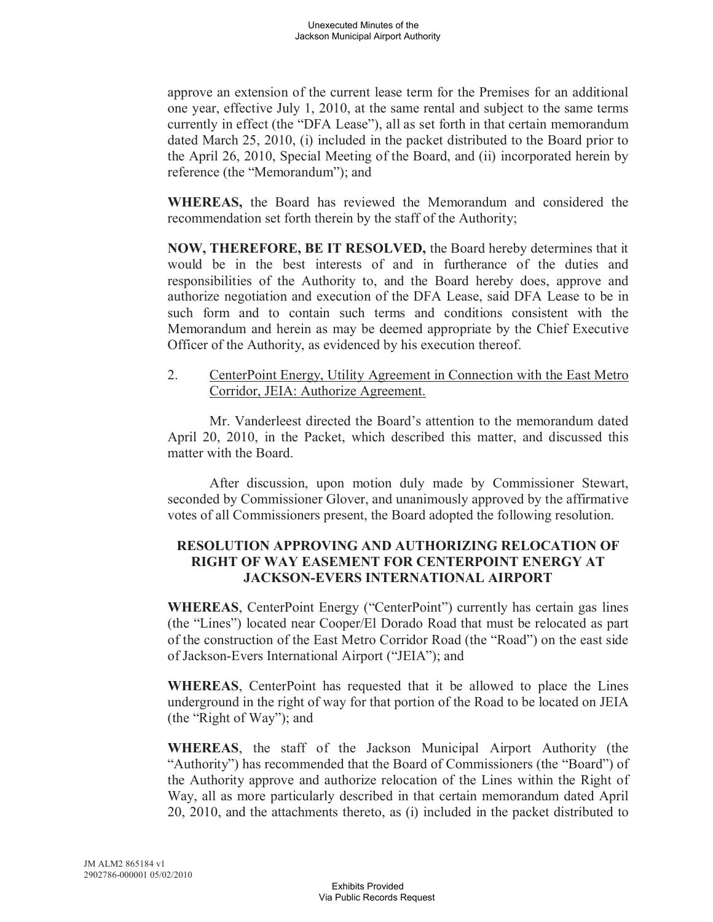approve an extension of the current lease term for the Premises for an additional one year, effective July 1, 2010, at the same rental and subject to the same terms currently in effect (the "DFA Lease"), all as set forth in that certain memorandum dated March 25, 2010, (i) included in the packet distributed to the Board prior to the April 26, 2010, Special Meeting of the Board, and (ii) incorporated herein by reference (the "Memorandum"); and

**WHEREAS,** the Board has reviewed the Memorandum and considered the recommendation set forth therein by the staff of the Authority;

**NOW, THEREFORE, BE IT RESOLVED,** the Board hereby determines that it would be in the best interests of and in furtherance of the duties and responsibilities of the Authority to, and the Board hereby does, approve and authorize negotiation and execution of the DFA Lease, said DFA Lease to be in such form and to contain such terms and conditions consistent with the Memorandum and herein as may be deemed appropriate by the Chief Executive Officer of the Authority, as evidenced by his execution thereof.

2. CenterPoint Energy, Utility Agreement in Connection with the East Metro Corridor, JEIA: Authorize Agreement.

Mr. Vanderleest directed the Board's attention to the memorandum dated April 20, 2010, in the Packet, which described this matter, and discussed this matter with the Board.

After discussion, upon motion duly made by Commissioner Stewart, seconded by Commissioner Glover, and unanimously approved by the affirmative votes of all Commissioners present, the Board adopted the following resolution.

## **RESOLUTION APPROVING AND AUTHORIZING RELOCATION OF RIGHT OF WAY EASEMENT FOR CENTERPOINT ENERGY AT JACKSON-EVERS INTERNATIONAL AIRPORT**

**WHEREAS**, CenterPoint Energy ("CenterPoint") currently has certain gas lines (the "Lines") located near Cooper/El Dorado Road that must be relocated as part of the construction of the East Metro Corridor Road (the "Road") on the east side of Jackson-Evers International Airport ("JEIA"); and

**WHEREAS**, CenterPoint has requested that it be allowed to place the Lines underground in the right of way for that portion of the Road to be located on JEIA (the "Right of Way"); and

**WHEREAS**, the staff of the Jackson Municipal Airport Authority (the "Authority") has recommended that the Board of Commissioners (the "Board") of the Authority approve and authorize relocation of the Lines within the Right of Way, all as more particularly described in that certain memorandum dated April 20, 2010, and the attachments thereto, as (i) included in the packet distributed to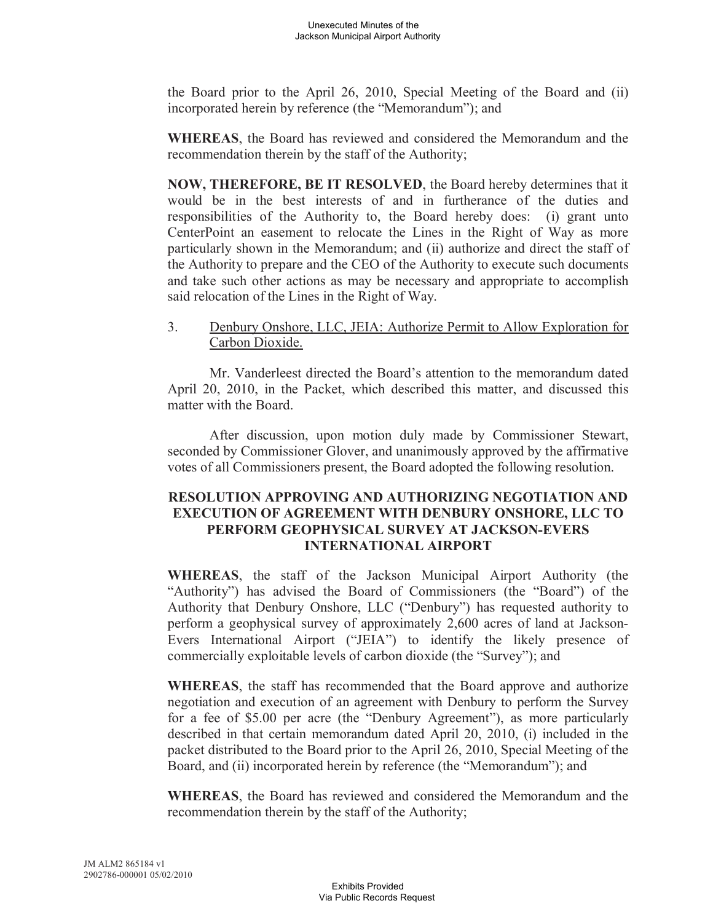the Board prior to the April 26, 2010, Special Meeting of the Board and (ii) incorporated herein by reference (the "Memorandum"); and

**WHEREAS**, the Board has reviewed and considered the Memorandum and the recommendation therein by the staff of the Authority;

**NOW, THEREFORE, BE IT RESOLVED**, the Board hereby determines that it would be in the best interests of and in furtherance of the duties and responsibilities of the Authority to, the Board hereby does: (i) grant unto CenterPoint an easement to relocate the Lines in the Right of Way as more particularly shown in the Memorandum; and (ii) authorize and direct the staff of the Authority to prepare and the CEO of the Authority to execute such documents and take such other actions as may be necessary and appropriate to accomplish said relocation of the Lines in the Right of Way.

3. Denbury Onshore, LLC, JEIA: Authorize Permit to Allow Exploration for Carbon Dioxide.

Mr. Vanderleest directed the Board's attention to the memorandum dated April 20, 2010, in the Packet, which described this matter, and discussed this matter with the Board.

After discussion, upon motion duly made by Commissioner Stewart, seconded by Commissioner Glover, and unanimously approved by the affirmative votes of all Commissioners present, the Board adopted the following resolution.

## **RESOLUTION APPROVING AND AUTHORIZING NEGOTIATION AND EXECUTION OF AGREEMENT WITH DENBURY ONSHORE, LLC TO PERFORM GEOPHYSICAL SURVEY AT JACKSON-EVERS INTERNATIONAL AIRPORT**

**WHEREAS**, the staff of the Jackson Municipal Airport Authority (the "Authority") has advised the Board of Commissioners (the "Board") of the Authority that Denbury Onshore, LLC ("Denbury") has requested authority to perform a geophysical survey of approximately 2,600 acres of land at Jackson-Evers International Airport ("JEIA") to identify the likely presence of commercially exploitable levels of carbon dioxide (the "Survey"); and

**WHEREAS**, the staff has recommended that the Board approve and authorize negotiation and execution of an agreement with Denbury to perform the Survey for a fee of \$5.00 per acre (the "Denbury Agreement"), as more particularly described in that certain memorandum dated April 20, 2010, (i) included in the packet distributed to the Board prior to the April 26, 2010, Special Meeting of the Board, and (ii) incorporated herein by reference (the "Memorandum"); and

**WHEREAS**, the Board has reviewed and considered the Memorandum and the recommendation therein by the staff of the Authority;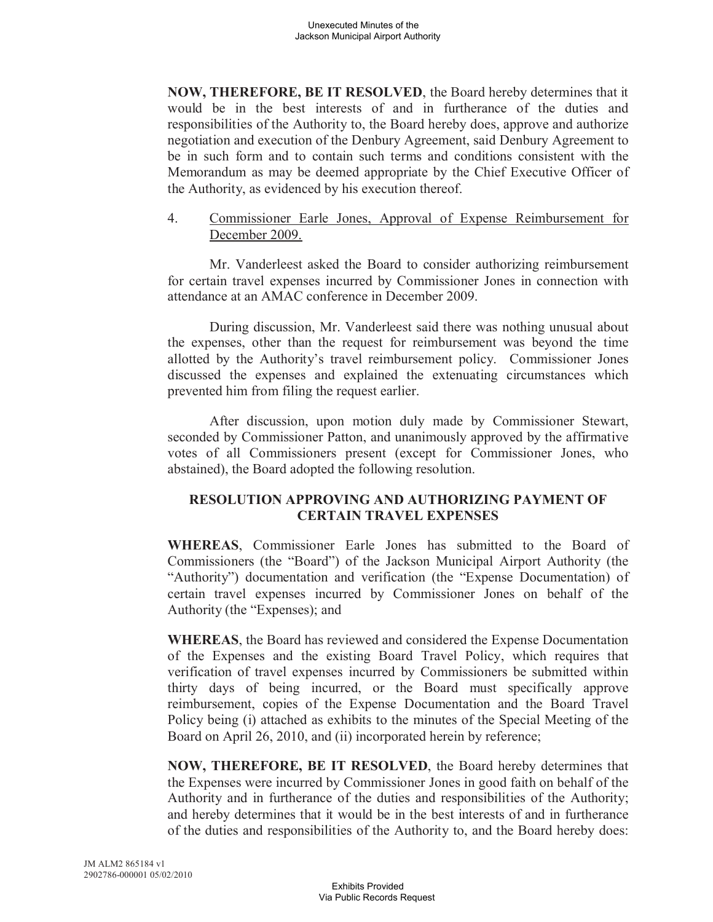**NOW, THEREFORE, BE IT RESOLVED**, the Board hereby determines that it would be in the best interests of and in furtherance of the duties and responsibilities of the Authority to, the Board hereby does, approve and authorize negotiation and execution of the Denbury Agreement, said Denbury Agreement to be in such form and to contain such terms and conditions consistent with the Memorandum as may be deemed appropriate by the Chief Executive Officer of the Authority, as evidenced by his execution thereof.

## 4. Commissioner Earle Jones, Approval of Expense Reimbursement for December 2009.

Mr. Vanderleest asked the Board to consider authorizing reimbursement for certain travel expenses incurred by Commissioner Jones in connection with attendance at an AMAC conference in December 2009.

During discussion, Mr. Vanderleest said there was nothing unusual about the expenses, other than the request for reimbursement was beyond the time allotted by the Authority's travel reimbursement policy. Commissioner Jones discussed the expenses and explained the extenuating circumstances which prevented him from filing the request earlier.

After discussion, upon motion duly made by Commissioner Stewart, seconded by Commissioner Patton, and unanimously approved by the affirmative votes of all Commissioners present (except for Commissioner Jones, who abstained), the Board adopted the following resolution.

# **RESOLUTION APPROVING AND AUTHORIZING PAYMENT OF CERTAIN TRAVEL EXPENSES**

**WHEREAS**, Commissioner Earle Jones has submitted to the Board of Commissioners (the "Board") of the Jackson Municipal Airport Authority (the "Authority") documentation and verification (the "Expense Documentation) of certain travel expenses incurred by Commissioner Jones on behalf of the Authority (the "Expenses); and

**WHEREAS**, the Board has reviewed and considered the Expense Documentation of the Expenses and the existing Board Travel Policy, which requires that verification of travel expenses incurred by Commissioners be submitted within thirty days of being incurred, or the Board must specifically approve reimbursement, copies of the Expense Documentation and the Board Travel Policy being (i) attached as exhibits to the minutes of the Special Meeting of the Board on April 26, 2010, and (ii) incorporated herein by reference;

**NOW, THEREFORE, BE IT RESOLVED**, the Board hereby determines that the Expenses were incurred by Commissioner Jones in good faith on behalf of the Authority and in furtherance of the duties and responsibilities of the Authority; and hereby determines that it would be in the best interests of and in furtherance of the duties and responsibilities of the Authority to, and the Board hereby does: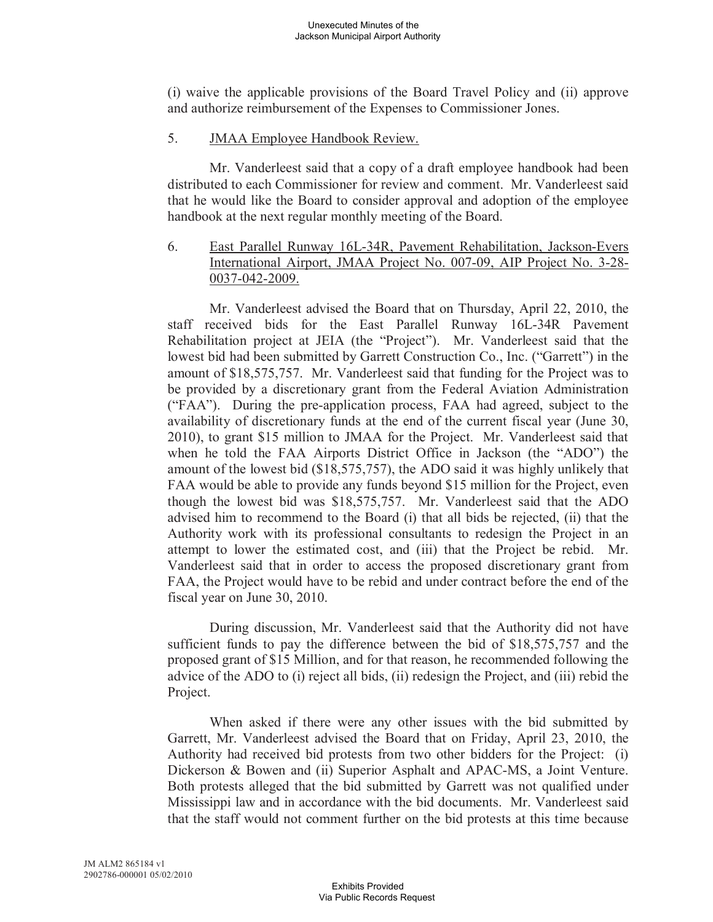(i) waive the applicable provisions of the Board Travel Policy and (ii) approve and authorize reimbursement of the Expenses to Commissioner Jones.

## 5. **JMAA Employee Handbook Review.**

Mr. Vanderleest said that a copy of a draft employee handbook had been distributed to each Commissioner for review and comment. Mr. Vanderleest said that he would like the Board to consider approval and adoption of the employee handbook at the next regular monthly meeting of the Board.

6. East Parallel Runway 16L-34R, Pavement Rehabilitation, Jackson-Evers International Airport, JMAA Project No. 007-09, AIP Project No. 3-28- 0037-042-2009.

Mr. Vanderleest advised the Board that on Thursday, April 22, 2010, the staff received bids for the East Parallel Runway 16L-34R Pavement Rehabilitation project at JEIA (the "Project"). Mr. Vanderleest said that the lowest bid had been submitted by Garrett Construction Co., Inc. ("Garrett") in the amount of \$18,575,757. Mr. Vanderleest said that funding for the Project was to be provided by a discretionary grant from the Federal Aviation Administration ("FAA"). During the pre-application process, FAA had agreed, subject to the availability of discretionary funds at the end of the current fiscal year (June 30, 2010), to grant \$15 million to JMAA for the Project. Mr. Vanderleest said that when he told the FAA Airports District Office in Jackson (the "ADO") the amount of the lowest bid (\$18,575,757), the ADO said it was highly unlikely that FAA would be able to provide any funds beyond \$15 million for the Project, even though the lowest bid was \$18,575,757. Mr. Vanderleest said that the ADO advised him to recommend to the Board (i) that all bids be rejected, (ii) that the Authority work with its professional consultants to redesign the Project in an attempt to lower the estimated cost, and (iii) that the Project be rebid. Mr. Vanderleest said that in order to access the proposed discretionary grant from FAA, the Project would have to be rebid and under contract before the end of the fiscal year on June 30, 2010.

During discussion, Mr. Vanderleest said that the Authority did not have sufficient funds to pay the difference between the bid of \$18,575,757 and the proposed grant of \$15 Million, and for that reason, he recommended following the advice of the ADO to (i) reject all bids, (ii) redesign the Project, and (iii) rebid the Project.

When asked if there were any other issues with the bid submitted by Garrett, Mr. Vanderleest advised the Board that on Friday, April 23, 2010, the Authority had received bid protests from two other bidders for the Project: (i) Dickerson & Bowen and (ii) Superior Asphalt and APAC-MS, a Joint Venture. Both protests alleged that the bid submitted by Garrett was not qualified under Mississippi law and in accordance with the bid documents. Mr. Vanderleest said that the staff would not comment further on the bid protests at this time because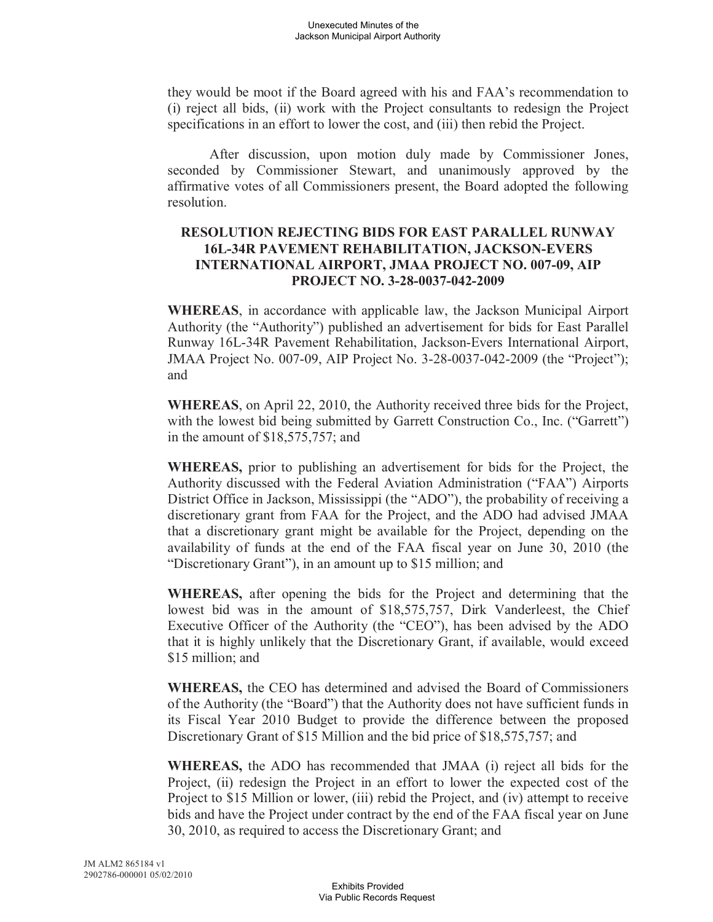they would be moot if the Board agreed with his and FAA's recommendation to (i) reject all bids, (ii) work with the Project consultants to redesign the Project specifications in an effort to lower the cost, and (iii) then rebid the Project.

After discussion, upon motion duly made by Commissioner Jones, seconded by Commissioner Stewart, and unanimously approved by the affirmative votes of all Commissioners present, the Board adopted the following resolution.

## **RESOLUTION REJECTING BIDS FOR EAST PARALLEL RUNWAY 16L-34R PAVEMENT REHABILITATION, JACKSON-EVERS INTERNATIONAL AIRPORT, JMAA PROJECT NO. 007-09, AIP PROJECT NO. 3-28-0037-042-2009**

**WHEREAS**, in accordance with applicable law, the Jackson Municipal Airport Authority (the "Authority") published an advertisement for bids for East Parallel Runway 16L-34R Pavement Rehabilitation, Jackson-Evers International Airport, JMAA Project No. 007-09, AIP Project No. 3-28-0037-042-2009 (the "Project"); and

**WHEREAS**, on April 22, 2010, the Authority received three bids for the Project, with the lowest bid being submitted by Garrett Construction Co., Inc. ("Garrett") in the amount of \$18,575,757; and

**WHEREAS,** prior to publishing an advertisement for bids for the Project, the Authority discussed with the Federal Aviation Administration ("FAA") Airports District Office in Jackson, Mississippi (the "ADO"), the probability of receiving a discretionary grant from FAA for the Project, and the ADO had advised JMAA that a discretionary grant might be available for the Project, depending on the availability of funds at the end of the FAA fiscal year on June 30, 2010 (the "Discretionary Grant"), in an amount up to \$15 million; and

**WHEREAS,** after opening the bids for the Project and determining that the lowest bid was in the amount of \$18,575,757, Dirk Vanderleest, the Chief Executive Officer of the Authority (the "CEO"), has been advised by the ADO that it is highly unlikely that the Discretionary Grant, if available, would exceed \$15 million; and

**WHEREAS,** the CEO has determined and advised the Board of Commissioners of the Authority (the "Board") that the Authority does not have sufficient funds in its Fiscal Year 2010 Budget to provide the difference between the proposed Discretionary Grant of \$15 Million and the bid price of \$18,575,757; and

**WHEREAS,** the ADO has recommended that JMAA (i) reject all bids for the Project, (ii) redesign the Project in an effort to lower the expected cost of the Project to \$15 Million or lower, (iii) rebid the Project, and (iv) attempt to receive bids and have the Project under contract by the end of the FAA fiscal year on June 30, 2010, as required to access the Discretionary Grant; and